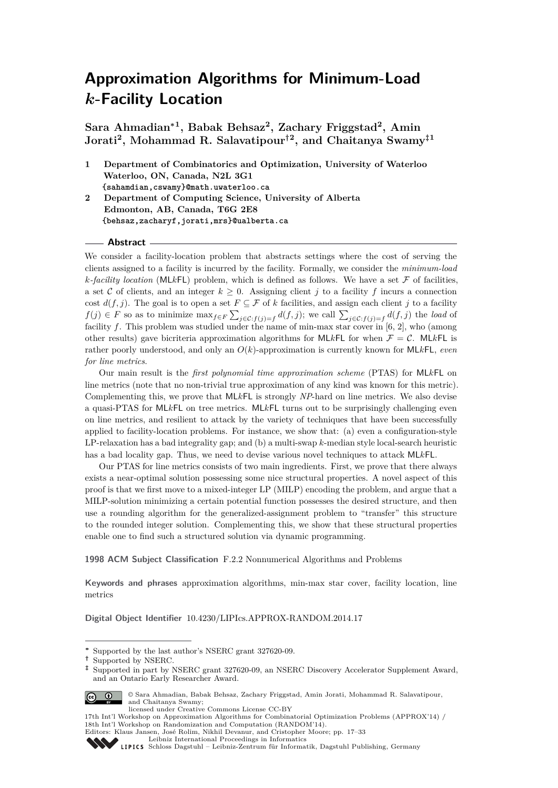**Sara Ahmadian<sup>∗</sup><sup>1</sup> , Babak Behsaz<sup>2</sup> , Zachary Friggstad<sup>2</sup> , Amin Jorati<sup>2</sup> , Mohammad R. Salavatipour†<sup>2</sup> , and Chaitanya Swamy‡<sup>1</sup>**

**1 Department of Combinatorics and Optimization, University of Waterloo Waterloo, ON, Canada, N2L 3G1 {sahamdian,cswamy}@math.uwaterloo.ca**

**2 Department of Computing Science, University of Alberta Edmonton, AB, Canada, T6G 2E8 {behsaz,zacharyf,jorati,mrs}@ualberta.ca**

#### **Abstract**

We consider a facility-location problem that abstracts settings where the cost of serving the clients assigned to a facility is incurred by the facility. Formally, we consider the *minimum-load*  $k$ *-facility location* (ML*k*FL) problem, which is defined as follows. We have a set  $\mathcal F$  of facilities, a set C of clients, and an integer  $k \geq 0$ . Assigning client *j* to a facility *f* incurs a connection cost  $d(f, j)$ . The goal is to open a set  $F \subseteq \mathcal{F}$  of *k* facilities, and assign each client *j* to a facility *f*(*j*) ∈ *F* so as to minimize max<sub>*f*∈*F*</sub>  $\sum_{j \in C: f(j) = f} d(f, j)$ ; we call  $\sum_{j \in C: f(j) = f} d(f, j)$  the *load* of facility *f*. This problem was studied under the name of min-max star cover in [\[6,](#page-16-0) [2\]](#page-16-1), who (among other results) gave bicriteria approximation algorithms for MLkFL for when  $\mathcal{F} = \mathcal{C}$ . MLkFL is rather poorly understood, and only an *O*(*k*)-approximation is currently known for ML*k*FL, *even for line metrics*.

Our main result is the *first polynomial time approximation scheme* (PTAS) for ML*k*FL on line metrics (note that no non-trivial true approximation of any kind was known for this metric). Complementing this, we prove that ML*k*FL is strongly *NP*-hard on line metrics. We also devise a quasi-PTAS for ML*k*FL on tree metrics. ML*k*FL turns out to be surprisingly challenging even on line metrics, and resilient to attack by the variety of techniques that have been successfully applied to facility-location problems. For instance, we show that: (a) even a configuration-style LP-relaxation has a bad integrality gap; and (b) a multi-swap *k*-median style local-search heuristic has a bad locality gap. Thus, we need to devise various novel techniques to attack ML*k*FL.

Our PTAS for line metrics consists of two main ingredients. First, we prove that there always exists a near-optimal solution possessing some nice structural properties. A novel aspect of this proof is that we first move to a mixed-integer LP (MILP) encoding the problem, and argue that a MILP-solution minimizing a certain potential function possesses the desired structure, and then use a rounding algorithm for the generalized-assignment problem to "transfer" this structure to the rounded integer solution. Complementing this, we show that these structural properties enable one to find such a structured solution via dynamic programming.

**1998 ACM Subject Classification** F.2.2 Nonnumerical Algorithms and Problems

**Keywords and phrases** approximation algorithms, min-max star cover, facility location, line metrics

**Digital Object Identifier** [10.4230/LIPIcs.APPROX-RANDOM.2014.17](http://dx.doi.org/10.4230/LIPIcs.APPROX-RANDOM.2014.17)

**<sup>‡</sup>** Supported in part by NSERC grant 327620-09, an NSERC Discovery Accelerator Supplement Award, and an Ontario Early Researcher Award.



© Sara Ahmadian, Babak Behsaz, Zachary Friggstad, Amin Jorati, Mohammad R. Salavatipour, and Chaitanya Swamy; licensed under Creative Commons License CC-BY

17th Int'l Workshop on Approximation Algorithms for Combinatorial Optimization Problems (APPROX'14) / 18th Int'l Workshop on Randomization and Computation (RANDOM'14).

**<sup>∗</sup>** Supported by the last author's NSERC grant 327620-09.

**<sup>†</sup>** Supported by NSERC.

Editors: Klaus Jansen, José Rolim, Nikhil Devanur, and Cristopher Moore; pp. 17[–33](#page-16-2)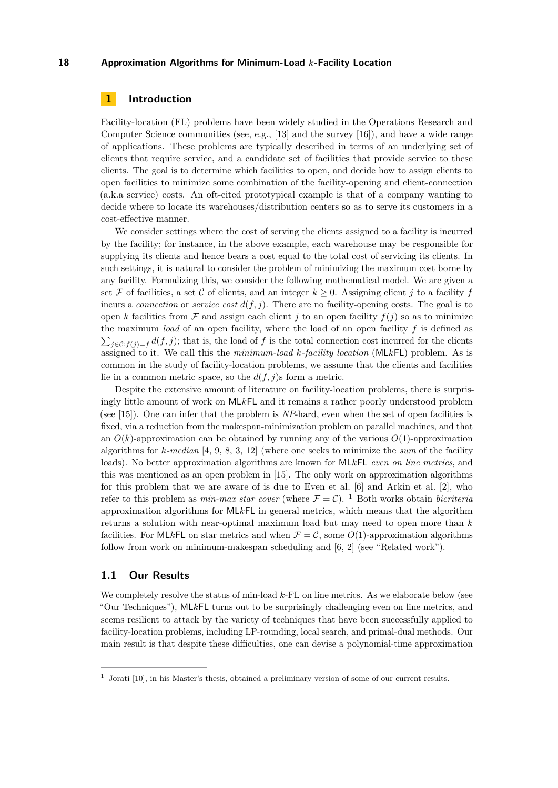# **1 Introduction**

Facility-location (FL) problems have been widely studied in the Operations Research and Computer Science communities (see, e.g., [\[13\]](#page-16-3) and the survey [\[16\]](#page-16-4)), and have a wide range of applications. These problems are typically described in terms of an underlying set of clients that require service, and a candidate set of facilities that provide service to these clients. The goal is to determine which facilities to open, and decide how to assign clients to open facilities to minimize some combination of the facility-opening and client-connection (a.k.a service) costs. An oft-cited prototypical example is that of a company wanting to decide where to locate its warehouses/distribution centers so as to serve its customers in a cost-effective manner.

We consider settings where the cost of serving the clients assigned to a facility is incurred by the facility; for instance, in the above example, each warehouse may be responsible for supplying its clients and hence bears a cost equal to the total cost of servicing its clients. In such settings, it is natural to consider the problem of minimizing the maximum cost borne by any facility. Formalizing this, we consider the following mathematical model. We are given a set F of facilities, a set C of clients, and an integer  $k \geq 0$ . Assigning client *j* to a facility f incurs a *connection* or *service cost*  $d(f, j)$ . There are no facility-opening costs. The goal is to open *k* facilities from  $\mathcal F$  and assign each client *j* to an open facility  $f(j)$  so as to minimize the maximum *load* of an open facility, where the load of an open facility *f* is defined as  $\sum_{j\in\mathcal{C}:f(j)=f}d(f,j)$ ; that is, the load of *f* is the total connection cost incurred for the clients assigned to it. We call this the *minimum-load k-facility location* (ML*k*FL) problem. As is common in the study of facility-location problems, we assume that the clients and facilities lie in a common metric space, so the  $d(f, j)$ s form a metric.

Despite the extensive amount of literature on facility-location problems, there is surprisingly little amount of work on ML*k*FL and it remains a rather poorly understood problem (see [\[15\]](#page-16-5)). One can infer that the problem is *NP*-hard, even when the set of open facilities is fixed, via a reduction from the makespan-minimization problem on parallel machines, and that an  $O(k)$ -approximation can be obtained by running any of the various  $O(1)$ -approximation algorithms for *k-median* [\[4,](#page-16-6) [9,](#page-16-7) [8,](#page-16-8) [3,](#page-16-9) [12\]](#page-16-10) (where one seeks to minimize the *sum* of the facility loads). No better approximation algorithms are known for ML*k*FL *even on line metrics*, and this was mentioned as an open problem in [\[15\]](#page-16-5). The only work on approximation algorithms for this problem that we are aware of is due to Even et al. [\[6\]](#page-16-0) and Arkin et al. [\[2\]](#page-16-1), who refer to this problem as *min-max star cover* (where  $\mathcal{F} = \mathcal{C}$ ). <sup>[1](#page-1-0)</sup> Both works obtain *bicriteria* approximation algorithms for ML*k*FL in general metrics, which means that the algorithm returns a solution with near-optimal maximum load but may need to open more than *k* facilities. For MLkFL on star metrics and when  $\mathcal{F} = \mathcal{C}$ , some  $O(1)$ -approximation algorithms follow from work on minimum-makespan scheduling and [\[6,](#page-16-0) [2\]](#page-16-1) (see "Related work").

## **1.1 Our Results**

We completely resolve the status of min-load *k*-FL on line metrics. As we elaborate below (see "Our Techniques"), ML*k*FL turns out to be surprisingly challenging even on line metrics, and seems resilient to attack by the variety of techniques that have been successfully applied to facility-location problems, including LP-rounding, local search, and primal-dual methods. Our main result is that despite these difficulties, one can devise a polynomial-time approximation

<span id="page-1-0"></span><sup>&</sup>lt;sup>1</sup> Jorati [\[10\]](#page-16-11), in his Master's thesis, obtained a preliminary version of some of our current results.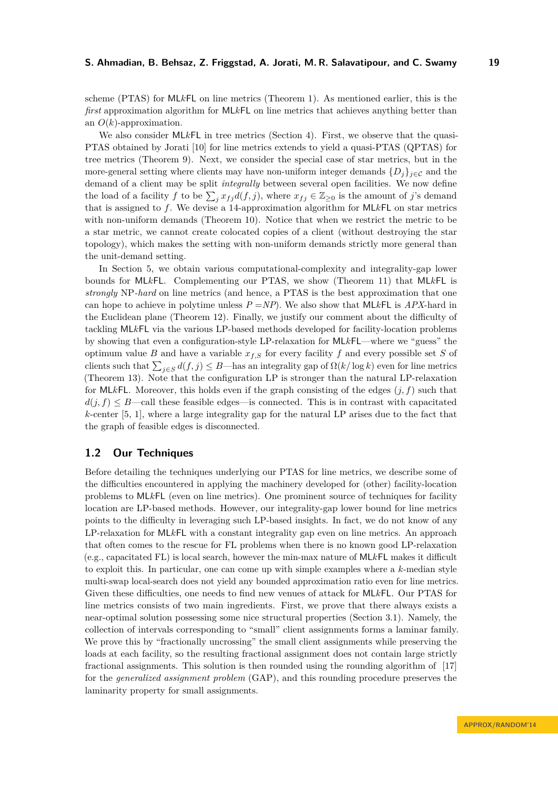scheme (PTAS) for ML*k*FL on line metrics (Theorem [1\)](#page-4-0). As mentioned earlier, this is the *first* approximation algorithm for ML*k*FL on line metrics that achieves anything better than an *O*(*k*)-approximation.

We also consider ML*kFL* in tree metrics (Section [4\)](#page-12-0). First, we observe that the quasi-PTAS obtained by Jorati [\[10\]](#page-16-11) for line metrics extends to yield a quasi-PTAS (QPTAS) for tree metrics (Theorem [9\)](#page-13-0). Next, we consider the special case of star metrics, but in the more-general setting where clients may have non-uniform integer demands  ${D_i}_{i \in \mathcal{C}}$  and the demand of a client may be split *integrally* between several open facilities. We now define the load of a facility *f* to be  $\sum_j x_{fj}d(f, j)$ , where  $x_{fj} \in \mathbb{Z}_{\geq 0}$  is the amount of *j*'s demand that is assigned to *f*. We devise a 14-approximation algorithm for ML*k*FL on star metrics with non-uniform demands (Theorem [10\)](#page-14-0). Notice that when we restrict the metric to be a star metric, we cannot create colocated copies of a client (without destroying the star topology), which makes the setting with non-uniform demands strictly more general than the unit-demand setting.

In Section [5,](#page-14-1) we obtain various computational-complexity and integrality-gap lower bounds for ML*k*FL. Complementing our PTAS, we show (Theorem [11\)](#page-14-2) that ML*k*FL is *strongly* NP*-hard* on line metrics (and hence, a PTAS is the best approximation that one can hope to achieve in polytime unless  $P = NP$ ). We also show that MLkFL is  $APX$ -hard in the Euclidean plane (Theorem [12\)](#page-14-3). Finally, we justify our comment about the difficulty of tackling ML*k*FL via the various LP-based methods developed for facility-location problems by showing that even a configuration-style LP-relaxation for ML*k*FL—where we "guess" the optimum value *B* and have a variable  $x_f$ <sub>*S*</sub> for every facility *f* and every possible set *S* of clients such that  $\sum_{j\in S} d(f, j) \le B$ —has an integrality gap of  $\Omega(k/\log k)$  even for line metrics (Theorem [13\)](#page-15-0). Note that the configuration LP is stronger than the natural LP-relaxation for ML*k*FL. Moreover, this holds even if the graph consisting of the edges (*j, f*) such that  $d(j, f) \leq B$ —call these feasible edges—is connected. This is in contrast with capacitated *k*-center [\[5,](#page-16-12) [1\]](#page-16-13), where a large integrality gap for the natural LP arises due to the fact that the graph of feasible edges is disconnected.

## **1.2 Our Techniques**

Before detailing the techniques underlying our PTAS for line metrics, we describe some of the difficulties encountered in applying the machinery developed for (other) facility-location problems to ML*k*FL (even on line metrics). One prominent source of techniques for facility location are LP-based methods. However, our integrality-gap lower bound for line metrics points to the difficulty in leveraging such LP-based insights. In fact, we do not know of any LP-relaxation for ML*k*FL with a constant integrality gap even on line metrics. An approach that often comes to the rescue for FL problems when there is no known good LP-relaxation (e.g., capacitated FL) is local search, however the min-max nature of ML*k*FL makes it difficult to exploit this. In particular, one can come up with simple examples where a *k*-median style multi-swap local-search does not yield any bounded approximation ratio even for line metrics. Given these difficulties, one needs to find new venues of attack for ML*k*FL. Our PTAS for line metrics consists of two main ingredients. First, we prove that there always exists a near-optimal solution possessing some nice structural properties (Section [3.1\)](#page-5-0). Namely, the collection of intervals corresponding to "small" client assignments forms a laminar family. We prove this by "fractionally uncrossing" the small client assignments while preserving the loads at each facility, so the resulting fractional assignment does not contain large strictly fractional assignments. This solution is then rounded using the rounding algorithm of [\[17\]](#page-16-14) for the *generalized assignment problem* (GAP), and this rounding procedure preserves the laminarity property for small assignments.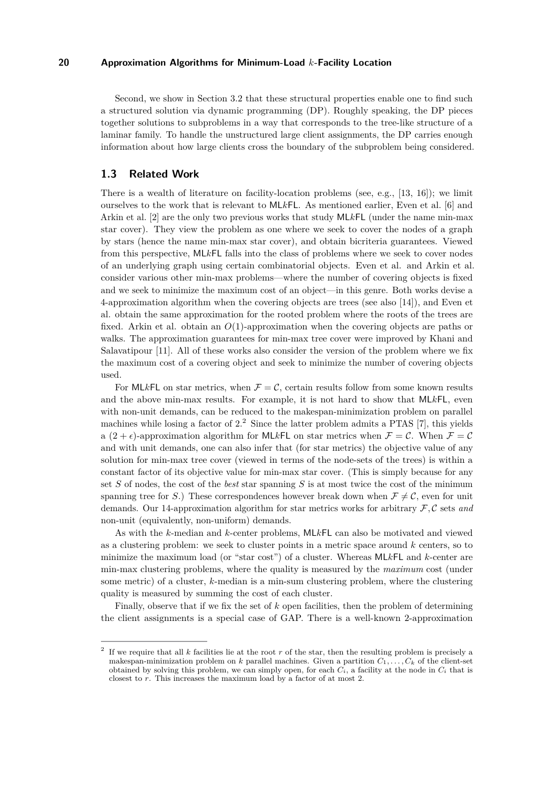Second, we show in Section [3.2](#page-7-0) that these structural properties enable one to find such a structured solution via dynamic programming (DP). Roughly speaking, the DP pieces together solutions to subproblems in a way that corresponds to the tree-like structure of a laminar family. To handle the unstructured large client assignments, the DP carries enough information about how large clients cross the boundary of the subproblem being considered.

## **1.3 Related Work**

There is a wealth of literature on facility-location problems (see, e.g., [\[13,](#page-16-3) [16\]](#page-16-4)); we limit ourselves to the work that is relevant to ML*k*FL. As mentioned earlier, Even et al. [\[6\]](#page-16-0) and Arkin et al. [\[2\]](#page-16-1) are the only two previous works that study ML*k*FL (under the name min-max star cover). They view the problem as one where we seek to cover the nodes of a graph by stars (hence the name min-max star cover), and obtain bicriteria guarantees. Viewed from this perspective, ML*k*FL falls into the class of problems where we seek to cover nodes of an underlying graph using certain combinatorial objects. Even et al. and Arkin et al. consider various other min-max problems—where the number of covering objects is fixed and we seek to minimize the maximum cost of an object—in this genre. Both works devise a 4-approximation algorithm when the covering objects are trees (see also [\[14\]](#page-16-15)), and Even et al. obtain the same approximation for the rooted problem where the roots of the trees are fixed. Arkin et al. obtain an *O*(1)-approximation when the covering objects are paths or walks. The approximation guarantees for min-max tree cover were improved by Khani and Salavatipour [\[11\]](#page-16-16). All of these works also consider the version of the problem where we fix the maximum cost of a covering object and seek to minimize the number of covering objects used.

For MLkFL on star metrics, when  $\mathcal{F} = \mathcal{C}$ , certain results follow from some known results and the above min-max results. For example, it is not hard to show that ML*k*FL, even with non-unit demands, can be reduced to the makespan-minimization problem on parallel machines while losing a factor of 2.[2](#page-3-0) Since the latter problem admits a PTAS [\[7\]](#page-16-17), this yields a  $(2 + \epsilon)$ -approximation algorithm for MLkFL on star metrics when  $\mathcal{F} = \mathcal{C}$ . When  $\mathcal{F} = \mathcal{C}$ and with unit demands, one can also infer that (for star metrics) the objective value of any solution for min-max tree cover (viewed in terms of the node-sets of the trees) is within a constant factor of its objective value for min-max star cover. (This is simply because for any set *S* of nodes, the cost of the *best* star spanning *S* is at most twice the cost of the minimum spanning tree for *S*.) These correspondences however break down when  $\mathcal{F} \neq \mathcal{C}$ , even for unit demands. Our 14-approximation algorithm for star metrics works for arbitrary F*,* C sets *and* non-unit (equivalently, non-uniform) demands.

As with the *k*-median and *k*-center problems, ML*k*FL can also be motivated and viewed as a clustering problem: we seek to cluster points in a metric space around *k* centers, so to minimize the maximum load (or "star cost") of a cluster. Whereas ML*k*FL and *k*-center are min-max clustering problems, where the quality is measured by the *maximum* cost (under some metric) of a cluster, *k*-median is a min-sum clustering problem, where the clustering quality is measured by summing the cost of each cluster.

Finally, observe that if we fix the set of *k* open facilities, then the problem of determining the client assignments is a special case of GAP. There is a well-known 2-approximation

<span id="page-3-0"></span><sup>2</sup> If we require that all *k* facilities lie at the root *r* of the star, then the resulting problem is precisely a makespan-minimization problem on *k* parallel machines. Given a partition  $C_1, \ldots, C_k$  of the client-set obtained by solving this problem, we can simply open, for each  $C_i$ , a facility at the node in  $C_i$  that is closest to *r*. This increases the maximum load by a factor of at most 2.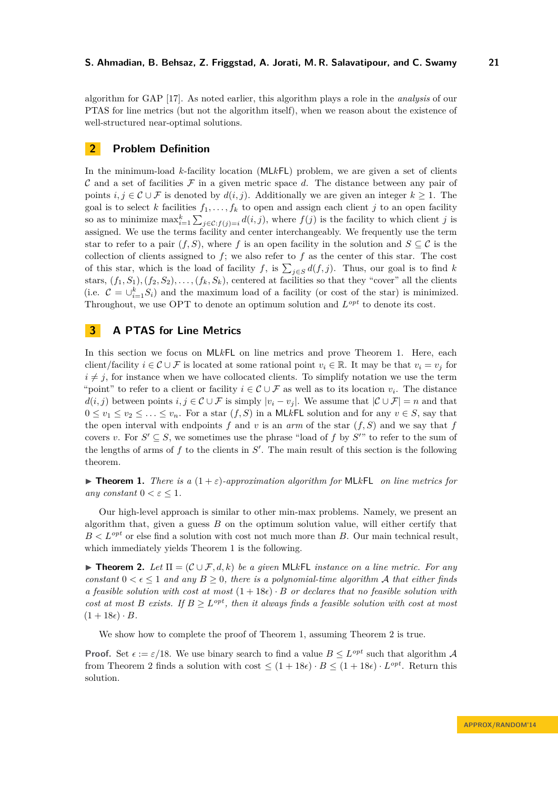algorithm for GAP [\[17\]](#page-16-14). As noted earlier, this algorithm plays a role in the *analysis* of our PTAS for line metrics (but not the algorithm itself), when we reason about the existence of well-structured near-optimal solutions.

# **2 Problem Definition**

In the minimum-load *k*-facility location (ML*k*FL) problem, we are given a set of clients  $\mathcal C$  and a set of facilities  $\mathcal F$  in a given metric space  $d$ . The distance between any pair of points  $i, j \in \mathcal{C} \cup \mathcal{F}$  is denoted by  $d(i, j)$ . Additionally we are given an integer  $k \geq 1$ . The goal is to select *k* facilities  $f_1, \ldots, f_k$  to open and assign each client *j* to an open facility so as to minimize  $\max_{i=1}^k \sum_{j \in \mathcal{C}: f(j)=i} d(i,j)$ , where  $f(j)$  is the facility to which client *j* is assigned. We use the terms facility and center interchangeably. We frequently use the term star to refer to a pair  $(f, S)$ , where f is an open facility in the solution and  $S \subseteq \mathcal{C}$  is the collection of clients assigned to  $f$ ; we also refer to  $f$  as the center of this star. The cost of this star, which is the load of facility *f*, is  $\sum_{j\in S} d(f, j)$ . Thus, our goal is to find *k* stars,  $(f_1, S_1), (f_2, S_2), \ldots, (f_k, S_k)$ , centered at facilities so that they "cover" all the clients (i.e.  $C = \bigcup_{i=1}^{k} S_i$ ) and the maximum load of a facility (or cost of the star) is minimized. Throughout, we use OPT to denote an optimum solution and  $L^{opt}$  to denote its cost.

# <span id="page-4-2"></span>**3 A PTAS for Line Metrics**

In this section we focus on ML*k*FL on line metrics and prove Theorem [1.](#page-4-0) Here, each client/facility  $i \in \mathcal{C} \cup \mathcal{F}$  is located at some rational point  $v_i \in \mathbb{R}$ . It may be that  $v_i = v_j$  for  $i \neq j$ , for instance when we have collocated clients. To simplify notation we use the term "point" to refer to a client or facility  $i \in \mathcal{C} \cup \mathcal{F}$  as well as to its location  $v_i$ . The distance  $d(i, j)$  between points  $i, j \in \mathcal{C} \cup \mathcal{F}$  is simply  $|v_i - v_j|$ . We assume that  $|\mathcal{C} \cup \mathcal{F}| = n$  and that  $0 \le v_1 \le v_2 \le \ldots \le v_n$ . For a star  $(f, S)$  in a MLkFL solution and for any  $v \in S$ , say that the open interval with endpoints  $f$  and  $v$  is an  $arm$  of the star  $(f, S)$  and we say that  $f$ covers *v*. For  $S' \subseteq S$ , we sometimes use the phrase "load of f by  $S''$ " to refer to the sum of the lengths of arms of  $f$  to the clients in  $S'$ . The main result of this section is the following theorem.

<span id="page-4-0"></span>**Find 1.** *There is a*  $(1+\varepsilon)$ *-approximation algorithm for* MLkFL *on line metrics for any* constant  $0 < \varepsilon \leq 1$ .

Our high-level approach is similar to other min-max problems. Namely, we present an algorithm that, given a guess *B* on the optimum solution value, will either certify that  $B < L^{opt}$  or else find a solution with cost not much more than *B*. Our main technical result, which immediately yields Theorem [1](#page-4-0) is the following.

<span id="page-4-1"></span>**► Theorem 2.** Let  $\Pi = (\mathcal{C} \cup \mathcal{F}, d, k)$  be a given MLkFL *instance on a line metric. For any constant*  $0 < \epsilon \leq 1$  *and any*  $B \geq 0$ *, there is a polynomial-time algorithm* A *that either finds a feasible solution with cost at most*  $(1+18\epsilon) \cdot B$  *or declares that no feasible solution with cost at most B exists.* If  $B \geq L^{opt}$ , then it always finds a feasible solution with cost at most  $(1 + 18\epsilon) \cdot B$ .

We show how to complete the proof of Theorem [1,](#page-4-0) assuming Theorem [2](#page-4-1) is true.

**Proof.** Set  $\epsilon := \epsilon/18$ . We use binary search to find a value  $B \leq L^{opt}$  such that algorithm A from Theorem [2](#page-4-1) finds a solution with cost  $\leq (1+18\epsilon) \cdot B \leq (1+18\epsilon) \cdot L^{opt}$ . Return this solution.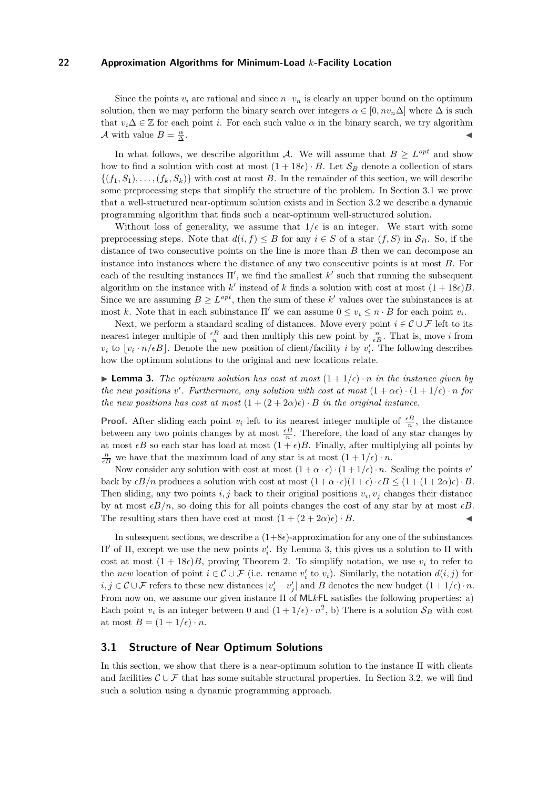Since the points  $v_i$  are rational and since  $n \cdot v_n$  is clearly an upper bound on the optimum solution, then we may perform the binary search over integers  $\alpha \in [0, nv_n\Delta]$  where  $\Delta$  is such that  $v_i \Delta \in \mathbb{Z}$  for each point *i*. For each such value  $\alpha$  in the binary search, we try algorithm A with value  $B = \frac{\alpha}{\Delta}$ . J

In what follows, we describe algorithm A. We will assume that  $B \geq L^{opt}$  and show how to find a solution with cost at most  $(1+18\epsilon) \cdot B$ . Let  $S_B$  denote a collection of stars  ${(f_1, S_1), \ldots, (f_k, S_k)}$  with cost at most *B*. In the remainder of this section, we will describe some preprocessing steps that simplify the structure of the problem. In Section [3.1](#page-5-0) we prove that a well-structured near-optimum solution exists and in Section [3.2](#page-7-0) we describe a dynamic programming algorithm that finds such a near-optimum well-structured solution.

Without loss of generality, we assume that  $1/\epsilon$  is an integer. We start with some preprocessing steps. Note that  $d(i, f) \leq B$  for any  $i \in S$  of a star  $(f, S)$  in  $S_B$ . So, if the distance of two consecutive points on the line is more than *B* then we can decompose an instance into instances where the distance of any two consecutive points is at most *B*. For each of the resulting instances  $\Pi'$ , we find the smallest  $k'$  such that running the subsequent algorithm on the instance with  $k'$  instead of  $k$  finds a solution with cost at most  $(1+18\epsilon)B$ . Since we are assuming  $B \geq L^{opt}$ , then the sum of these k' values over the subinstances is at most *k*. Note that in each subinstance  $\Pi'$  we can assume  $0 \le v_i \le n \cdot B$  for each point  $v_i$ .

Next, we perform a standard scaling of distances. Move every point  $i \in \mathcal{C} \cup \mathcal{F}$  left to its nearest integer multiple of  $\frac{eB}{n}$  and then multiply this new point by  $\frac{n}{eB}$ . That is, move *i* from  $v_i$  to  $\lfloor v_i \cdot n/\epsilon B \rfloor$ . Denote the new position of client/facility *i* by  $v'_i$ . The following describes how the optimum solutions to the original and new locations relate.

<span id="page-5-1"></span>**Lemma 3.** The optimum solution has cost at most  $(1 + 1/\epsilon) \cdot n$  in the instance given by *the new positions v*'. Furthermore, any solution with cost at most  $(1 + \alpha \epsilon) \cdot (1 + 1/\epsilon) \cdot n$  for *the new positions has cost at most*  $(1 + (2 + 2\alpha)\epsilon) \cdot B$  *in the original instance.* 

**Proof.** After sliding each point  $v_i$  left to its nearest integer multiple of  $\frac{\epsilon B}{n}$ , the distance between any two points changes by at most  $\frac{\epsilon B}{n}$ . Therefore, the load of any star changes by at most  $\epsilon B$  so each star has load at most  $(1 + \epsilon)B$ . Finally, after multiplying all points by  $\frac{n}{\epsilon B}$  we have that the maximum load of any star is at most  $(1 + 1/\epsilon) \cdot n$ .

Now consider any solution with cost at most  $(1 + \alpha \cdot \epsilon) \cdot (1 + 1/\epsilon) \cdot n$ . Scaling the points *v*' back by  $\epsilon B/n$  produces a solution with cost at most  $(1 + \alpha \cdot \epsilon)(1 + \epsilon) \cdot \epsilon B \leq (1 + (1 + 2\alpha)\epsilon) \cdot B$ . Then sliding, any two points  $i, j$  back to their original positions  $v_i, v_j$  changes their distance by at most  $\epsilon B/n$ , so doing this for all points changes the cost of any star by at most  $\epsilon B$ . The resulting stars then have cost at most  $(1 + (2 + 2\alpha)\epsilon) \cdot B$ .

In subsequent sections, we describe a  $(1+8\epsilon)$ -approximation for any one of the subinstances  $\Pi'$  of  $\Pi$ , except we use the new points  $v'_i$ . By Lemma [3,](#page-5-1) this gives us a solution to  $\Pi$  with cost at most  $(1 + 18\epsilon)B$ , proving Theorem [2.](#page-4-1) To simplify notation, we use  $v_i$  to refer to the *new* location of point  $i \in \mathcal{C} \cup \mathcal{F}$  (i.e. rename  $v_i'$  to  $v_i$ ). Similarly, the notation  $d(i, j)$  for  $i, j \in \mathcal{C} \cup \mathcal{F}$  refers to these new distances  $|v'_i - v'_j|$  and *B* denotes the new budget  $(1 + 1/\epsilon) \cdot n$ . From now on, we assume our given instance Π of ML*k*FL satisfies the following properties: a) Each point  $v_i$  is an integer between 0 and  $(1 + 1/\epsilon) \cdot n^2$ , b) There is a solution  $S_B$  with cost at most  $B = (1 + 1/\epsilon) \cdot n$ .

## <span id="page-5-0"></span>**3.1 Structure of Near Optimum Solutions**

In this section, we show that there is a near-optimum solution to the instance Π with clients and facilities  $\mathcal{C} \cup \mathcal{F}$  that has some suitable structural properties. In Section [3.2,](#page-7-0) we will find such a solution using a dynamic programming approach.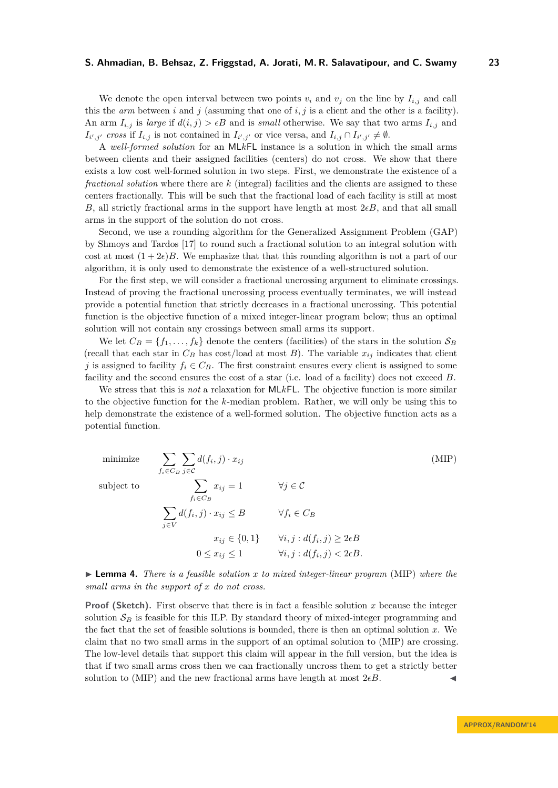We denote the open interval between two points  $v_i$  and  $v_j$  on the line by  $I_{i,j}$  and call this the *arm* between  $i$  and  $j$  (assuming that one of  $i, j$  is a client and the other is a facility). An arm  $I_{i,j}$  is *large* if  $d(i,j) > \epsilon B$  and is *small* otherwise. We say that two arms  $I_{i,j}$  and  $I_{i',j'}$  *cross* if  $I_{i,j}$  is not contained in  $I_{i',j'}$  or vice versa, and  $I_{i,j} \cap I_{i',j'} \neq \emptyset$ .

A *well-formed solution* for an ML*k*FL instance is a solution in which the small arms between clients and their assigned facilities (centers) do not cross. We show that there exists a low cost well-formed solution in two steps. First, we demonstrate the existence of a *fractional solution* where there are *k* (integral) facilities and the clients are assigned to these centers fractionally. This will be such that the fractional load of each facility is still at most *B*, all strictly fractional arms in the support have length at most  $2\epsilon B$ , and that all small arms in the support of the solution do not cross.

Second, we use a rounding algorithm for the Generalized Assignment Problem (GAP) by Shmoys and Tardos [\[17\]](#page-16-14) to round such a fractional solution to an integral solution with cost at most  $(1 + 2\epsilon)B$ . We emphasize that that this rounding algorithm is not a part of our algorithm, it is only used to demonstrate the existence of a well-structured solution.

For the first step, we will consider a fractional uncrossing argument to eliminate crossings. Instead of proving the fractional uncrossing process eventually terminates, we will instead provide a potential function that strictly decreases in a fractional uncrossing. This potential function is the objective function of a mixed integer-linear program below; thus an optimal solution will not contain any crossings between small arms its support.

We let  $C_B = \{f_1, \ldots, f_k\}$  denote the centers (facilities) of the stars in the solution  $S_B$ (recall that each star in  $C_B$  has cost/load at most *B*). The variable  $x_{ij}$  indicates that client *j* is assigned to facility  $f_i \in C_B$ . The first constraint ensures every client is assigned to some facility and the second ensures the cost of a star (i.e. load of a facility) does not exceed *B*.

We stress that this is *not* a relaxation for ML*k*FL. The objective function is more similar to the objective function for the *k*-median problem. Rather, we will only be using this to help demonstrate the existence of a well-formed solution. The objective function acts as a potential function.

<span id="page-6-0"></span>minimize 
$$
\sum_{f_i \in C_B} \sum_{j \in C} d(f_i, j) \cdot x_{ij}
$$
 (MIP)  
\nsubject to 
$$
\sum_{f_i \in C_B} x_{ij} = 1 \qquad \forall j \in C
$$

$$
\sum_{j \in V} d(f_i, j) \cdot x_{ij} \leq B \qquad \forall f_i \in C_B
$$

$$
x_{ij} \in \{0, 1\} \qquad \forall i, j : d(f_i, j) \geq 2\epsilon B
$$

$$
0 \leq x_{ij} \leq 1 \qquad \forall i, j : d(f_i, j) < 2\epsilon B.
$$

<span id="page-6-1"></span>I **Lemma 4.** *There is a feasible solution x to mixed integer-linear program* [\(MIP\)](#page-6-0) *where the small arms in the support of x do not cross.*

**Proof (Sketch).** First observe that there is in fact a feasible solution x because the integer solution  $S_B$  is feasible for this ILP. By standard theory of mixed-integer programming and the fact that the set of feasible solutions is bounded, there is then an optimal solution *x*. We claim that no two small arms in the support of an optimal solution to [\(MIP\)](#page-6-0) are crossing. The low-level details that support this claim will appear in the full version, but the idea is that if two small arms cross then we can fractionally uncross them to get a strictly better solution to [\(MIP\)](#page-6-0) and the new fractional arms have length at most  $2\epsilon B$ .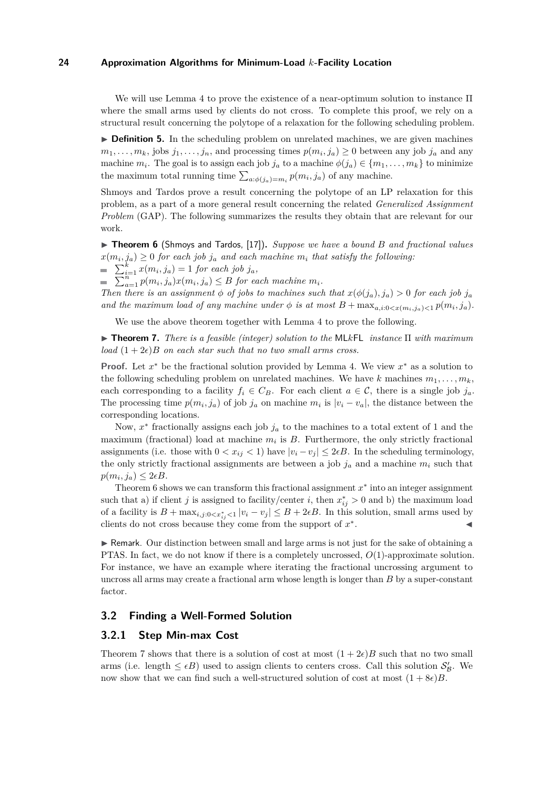We will use Lemma [4](#page-6-1) to prove the existence of a near-optimum solution to instance Π where the small arms used by clients do not cross. To complete this proof, we rely on a structural result concerning the polytope of a relaxation for the following scheduling problem.

▶ **Definition 5.** In the scheduling problem on unrelated machines, we are given machines  $m_1, \ldots, m_k$ , jobs  $j_1, \ldots, j_n$ , and processing times  $p(m_i, j_a) \geq 0$  between any job  $j_a$  and any machine  $m_i$ . The goal is to assign each job  $j_a$  to a machine  $\phi(j_a) \in \{m_1, \ldots, m_k\}$  to minimize the maximum total running time  $\sum_{a:\phi(j_a)=m_i} p(m_i, j_a)$  of any machine.

Shmoys and Tardos prove a result concerning the polytope of an LP relaxation for this problem, as a part of a more general result concerning the related *Generalized Assignment Problem* (GAP). The following summarizes the results they obtain that are relevant for our work.

<span id="page-7-1"></span>▶ **Theorem 6** (Shmoys and Tardos, [\[17\]](#page-16-14)). *Suppose we have a bound B and fractional values*  $x(m_i, j_a) \geq 0$  *for each job*  $j_a$  *and each machine*  $m_i$  *that satisfy the following:* 

 $\sum_{i=1}^{k} x(m_i, j_a) = 1$  *for each job*  $j_a$ *,* 

 $\sum_{a=1}^{n} p(m_i, j_a) x(m_i, j_a) \leq B$  for each machine  $m_i$ .

*Then there is an assignment*  $\phi$  *of jobs to machines such that*  $x(\phi(j_a), j_a) > 0$  *for each job*  $j_a$ *and the maximum load of any machine under*  $\phi$  *is at most*  $B + \max_{a,i:0 < x(m_i,j_a) < 1} p(m_i,j_a)$ .

We use the above theorem together with Lemma [4](#page-6-1) to prove the following.

<span id="page-7-2"></span>I **Theorem 7.** *There is a feasible (integer) solution to the* ML*k*FL *instance* Π *with maximum load*  $(1+2\epsilon)B$  *on each star such that no two small arms cross.* 

**Proof.** Let *x* <sup>∗</sup> be the fractional solution provided by Lemma [4.](#page-6-1) We view *x* <sup>∗</sup> as a solution to the following scheduling problem on unrelated machines. We have  $k$  machines  $m_1, \ldots, m_k$ , each corresponding to a facility  $f_i \in C_B$ . For each client  $a \in \mathcal{C}$ , there is a single job  $j_a$ . The processing time  $p(m_i, j_a)$  of job  $j_a$  on machine  $m_i$  is  $|v_i - v_a|$ , the distance between the corresponding locations.

Now,  $x^*$  fractionally assigns each job  $j_a$  to the machines to a total extent of 1 and the maximum (fractional) load at machine  $m_i$  is  $B$ . Furthermore, the only strictly fractional assignments (i.e. those with  $0 < x_{ij} < 1$ ) have  $|v_i - v_j| \leq 2\epsilon B$ . In the scheduling terminology, the only strictly fractional assignments are between a job  $j_a$  and a machine  $m_i$  such that  $p(m_i, j_a) \leq 2\epsilon B$ .

Theorem [6](#page-7-1) shows we can transform this fractional assignment  $x^*$  into an integer assignment such that a) if client *j* is assigned to facility/center *i*, then  $x_{ij}^* > 0$  and b) the maximum load of a facility is  $B + \max_{i,j:0 \le x_{ij}^* \le 1} |v_i - v_j| \le B + 2\epsilon B$ . In this solution, small arms used by clients do not cross because they come from the support of *x* ∗ . J

I Remark. Our distinction between small and large arms is not just for the sake of obtaining a PTAS. In fact, we do not know if there is a completely uncrossed, *O*(1)-approximate solution. For instance, we have an example where iterating the fractional uncrossing argument to uncross all arms may create a fractional arm whose length is longer than *B* by a super-constant factor.

## <span id="page-7-0"></span>**3.2 Finding a Well-Formed Solution**

## **3.2.1 Step Min-max Cost**

Theorem [7](#page-7-2) shows that there is a solution of cost at most  $(1 + 2\epsilon)B$  such that no two small arms (i.e. length  $\leq \epsilon B$ ) used to assign clients to centers cross. Call this solution  $S'_{\mathcal{B}}$ . We now show that we can find such a well-structured solution of cost at most  $(1 + 8\epsilon)B$ .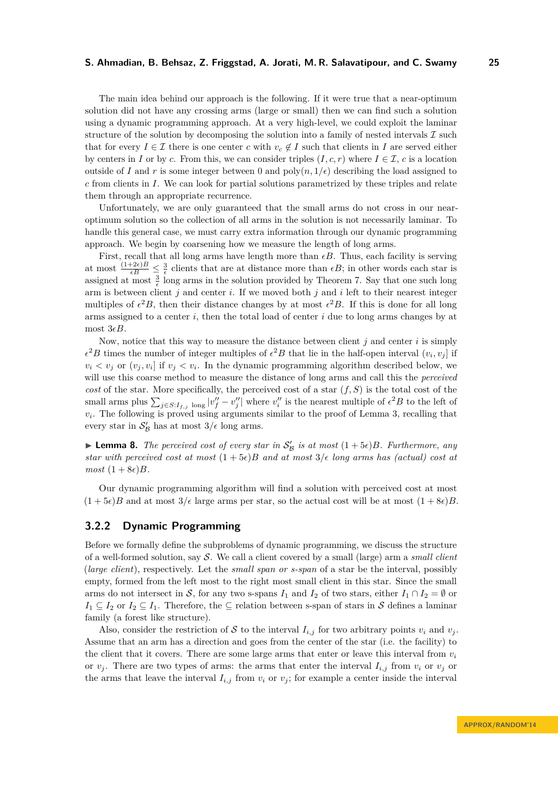The main idea behind our approach is the following. If it were true that a near-optimum solution did not have any crossing arms (large or small) then we can find such a solution using a dynamic programming approach. At a very high-level, we could exploit the laminar structure of the solution by decomposing the solution into a family of nested intervals  $\mathcal I$  such that for every  $I \in \mathcal{I}$  there is one center *c* with  $v_c \notin I$  such that clients in *I* are served either by centers in *I* or by *c*. From this, we can consider triples  $(I, c, r)$  where  $I \in \mathcal{I}$ , *c* is a location outside of *I* and *r* is some integer between 0 and  $\text{poly}(n, 1/\epsilon)$  describing the load assigned to *c* from clients in *I*. We can look for partial solutions parametrized by these triples and relate them through an appropriate recurrence.

Unfortunately, we are only guaranteed that the small arms do not cross in our nearoptimum solution so the collection of all arms in the solution is not necessarily laminar. To handle this general case, we must carry extra information through our dynamic programming approach. We begin by coarsening how we measure the length of long arms.

First, recall that all long arms have length more than  $\epsilon B$ . Thus, each facility is serving at most  $\frac{(1+2\epsilon)B}{\epsilon B} \leq \frac{3}{\epsilon}$  clients that are at distance more than  $\epsilon B$ ; in other words each star is assigned at most  $\frac{3}{\epsilon}$  long arms in the solution provided by Theorem [7.](#page-7-2) Say that one such long arm is between client *j* and center *i*. If we moved both *j* and *i* left to their nearest integer multiples of  $\epsilon^2 B$ , then their distance changes by at most  $\epsilon^2 B$ . If this is done for all long arms assigned to a center *i*, then the total load of center *i* due to long arms changes by at most  $3\epsilon B$ .

Now, notice that this way to measure the distance between client *j* and center *i* is simply  $\epsilon^2 B$  times the number of integer multiples of  $\epsilon^2 B$  that lie in the half-open interval  $(v_i, v_j]$  if  $v_i < v_j$  or  $(v_j, v_i]$  if  $v_j < v_i$ . In the dynamic programming algorithm described below, we will use this coarse method to measure the distance of long arms and call this the *perceived cost* of the star. More specifically, the perceived cost of a star  $(f, S)$  is the total cost of the small arms plus  $\sum_{j \in S: I_{f,j}} \log |v''_j - v''_j|$  where  $v''_i$  is the nearest multiple of  $\epsilon^2 B$  to the left of  $v_i$ . The following is proved using arguments similar to the proof of Lemma [3,](#page-5-1) recalling that every star in  $S'_{\mathcal{B}}$  has at most  $3/\epsilon$  long arms.

**Lemma 8.** The perceived cost of every star in  $S'_B$  is at most  $(1+5\epsilon)B$ . Furthermore, any *star with perceived cost at most*  $(1 + 5\epsilon)B$  *and at most*  $3/\epsilon$  *long arms has (actual) cost at*  $most (1 + 8\epsilon)B$ *.* 

Our dynamic programming algorithm will find a solution with perceived cost at most  $(1 + 5\epsilon)B$  and at most  $3/\epsilon$  large arms per star, so the actual cost will be at most  $(1 + 8\epsilon)B$ .

## **3.2.2 Dynamic Programming**

Before we formally define the subproblems of dynamic programming, we discuss the structure of a well-formed solution, say S. We call a client covered by a small (large) arm a *small client* (*large client*), respectively. Let the *small span or s-span* of a star be the interval, possibly empty, formed from the left most to the right most small client in this star. Since the small arms do not intersect in S, for any two s-spans  $I_1$  and  $I_2$  of two stars, either  $I_1 \cap I_2 = \emptyset$  or  $I_1 \subseteq I_2$  or  $I_2 \subseteq I_1$ . Therefore, the  $\subseteq$  relation between s-span of stars in S defines a laminar family (a forest like structure).

Also, consider the restriction of S to the interval  $I_{i,j}$  for two arbitrary points  $v_i$  and  $v_j$ . Assume that an arm has a direction and goes from the center of the star (i.e. the facility) to the client that it covers. There are some large arms that enter or leave this interval from  $v_i$ or  $v_j$ . There are two types of arms: the arms that enter the interval  $I_{i,j}$  from  $v_i$  or  $v_j$  or the arms that leave the interval  $I_{i,j}$  from  $v_i$  or  $v_j$ ; for example a center inside the interval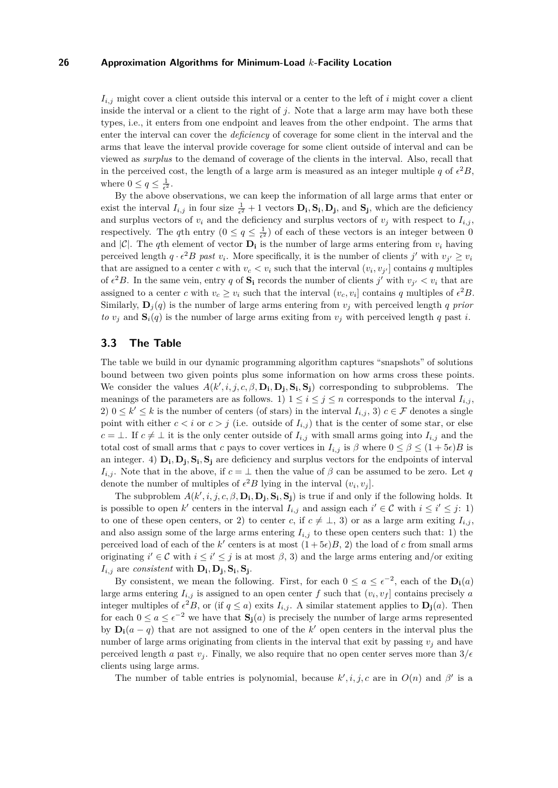$I_{i,j}$  might cover a client outside this interval or a center to the left of *i* might cover a client inside the interval or a client to the right of *j*. Note that a large arm may have both these types, i.e., it enters from one endpoint and leaves from the other endpoint. The arms that enter the interval can cover the *deficiency* of coverage for some client in the interval and the arms that leave the interval provide coverage for some client outside of interval and can be viewed as *surplus* to the demand of coverage of the clients in the interval. Also, recall that in the perceived cost, the length of a large arm is measured as an integer multiple q of  $\epsilon^2 B$ , where  $0 \le q \le \frac{1}{\epsilon^2}$ .

By the above observations, we can keep the information of all large arms that enter or exist the interval  $I_{i,j}$  in four size  $\frac{1}{\epsilon^2} + 1$  vectors  $D_i$ ,  $S_i$ ,  $D_j$ , and  $S_j$ , which are the deficiency and surplus vectors of  $v_i$  and the deficiency and surplus vectors of  $v_j$  with respect to  $I_{i,j}$ , respectively. The *q*th entry  $(0 \le q \le \frac{1}{\epsilon^2})$  of each of these vectors is an integer between 0 and  $|C|$ . The *q*th element of vector  $D_i$  is the number of large arms entering from  $v_i$  having perceived length  $q \cdot \epsilon^2 B$  past  $v_i$ . More specifically, it is the number of clients  $j'$  with  $v_{j'} \ge v_i$ that are assigned to a center *c* with  $v_c < v_i$  such that the interval  $(v_i, v_{j'}]$  contains *q* multiples of  $\epsilon^2 B$ . In the same vein, entry q of  $S_i$  records the number of clients *j'* with  $v_{j'} < v_i$  that are assigned to a center *c* with  $v_c \geq v_i$  such that the interval  $(v_c, v_i]$  contains *q* multiples of  $\epsilon^2 B$ . Similarly,  $\mathbf{D}_j(q)$  is the number of large arms entering from  $v_j$  with perceived length *q prior to*  $v_j$  and  $\mathbf{S}_i(q)$  is the number of large arms exiting from  $v_j$  with perceived length *q* past *i*.

## **3.3 The Table**

The table we build in our dynamic programming algorithm captures "snapshots" of solutions bound between two given points plus some information on how arms cross these points. We consider the values  $A(k', i, j, c, \beta, \mathbf{D_i}, \mathbf{D_j}, \mathbf{S_i}, \mathbf{S_j})$  corresponding to subproblems. The meanings of the parameters are as follows. 1)  $1 \leq i \leq j \leq n$  corresponds to the interval  $I_{i,j}$ , 2)  $0 \leq k' \leq k$  is the number of centers (of stars) in the interval  $I_{i,j}$ , 3)  $c \in \mathcal{F}$  denotes a single point with either  $c < i$  or  $c > j$  (i.e. outside of  $I_{i,j}$ ) that is the center of some star, or else *c* = ⊥. If  $c \neq \bot$  it is the only center outside of  $I_{i,j}$  with small arms going into  $I_{i,j}$  and the total cost of small arms that *c* pays to cover vertices in  $I_{i,j}$  is  $\beta$  where  $0 \leq \beta \leq (1 + 5\epsilon)B$  is an integer. 4)  $D_i$ ,  $D_j$ ,  $S_i$ ,  $S_j$  are deficiency and surplus vectors for the endpoints of interval *I*<sub>*i,j*</sub>. Note that in the above, if  $c = \perp$  then the value of  $\beta$  can be assumed to be zero. Let *q* denote the number of multiples of  $\epsilon^2 B$  lying in the interval  $(v_i, v_j]$ .

The subproblem  $A(k', i, j, c, \beta, \mathbf{D_i}, \mathbf{D_j}, \mathbf{S_i}, \mathbf{S_j})$  is true if and only if the following holds. It is possible to open  $k'$  centers in the interval  $I_{i,j}$  and assign each  $i' \in \mathcal{C}$  with  $i \leq i' \leq j$ : 1) to one of these open centers, or 2) to center *c*, if  $c \neq \bot$ , 3) or as a large arm exiting  $I_{i,j}$ , and also assign some of the large arms entering  $I_{i,j}$  to these open centers such that: 1) the perceived load of each of the *k*' centers is at most  $(1+5\epsilon)B$ , 2) the load of *c* from small arms originating  $i' \in \mathcal{C}$  with  $i \leq i' \leq j$  is at most  $\beta$ , 3) and the large arms entering and/or exiting  $I_{i,j}$  are *consistent* with  $D_i$ ,  $D_j$ ,  $S_i$ ,  $S_j$ .

By consistent, we mean the following. First, for each  $0 \le a \le e^{-2}$ , each of the  $D_i(a)$ large arms entering  $I_{i,j}$  is assigned to an open center f such that  $(v_i, v_f]$  contains precisely a integer multiples of  $\epsilon^2 B$ , or (if  $q \leq a$ ) exits  $I_{i,j}$ . A similar statement applies to  $\mathbf{D_j}(a)$ . Then for each  $0 \le a \le e^{-2}$  we have that  $S_j(a)$  is precisely the number of large arms represented by  $\mathbf{D_i}(a-q)$  that are not assigned to one of the *k*' open centers in the interval plus the number of large arms originating from clients in the interval that exit by passing  $v_j$  and have perceived length *a* past  $v_i$ . Finally, we also require that no open center serves more than  $3/\epsilon$ clients using large arms.

The number of table entries is polynomial, because  $k', i, j, c$  are in  $O(n)$  and  $\beta'$  is a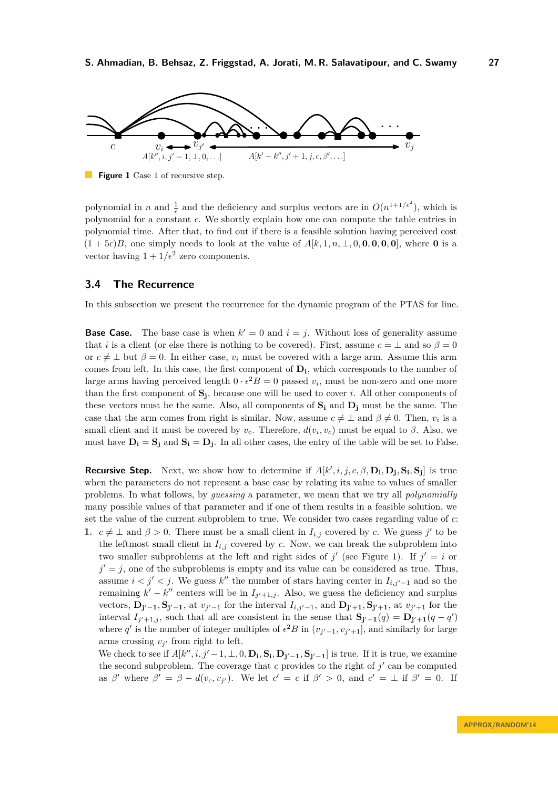<span id="page-10-0"></span>

**Figure 1** Case 1 of recursive step.

polynomial in *n* and  $\frac{1}{\epsilon}$  and the deficiency and surplus vectors are in  $O(n^{1+1/\epsilon^2})$ , which is polynomial for a constant  $\epsilon$ . We shortly explain how one can compute the table entries in polynomial time. After that, to find out if there is a feasible solution having perceived cost  $(1 + 5\epsilon)B$ , one simply needs to look at the value of  $A[k, 1, n, \perp, 0, \mathbf{0}, \mathbf{0}, \mathbf{0}, \mathbf{0}]$ , where **0** is a vector having  $1 + 1/\epsilon^2$  zero components.

## **3.4 The Recurrence**

In this subsection we present the recurrence for the dynamic program of the PTAS for line.

**Base Case.** The base case is when  $k' = 0$  and  $i = j$ . Without loss of generality assume that *i* is a client (or else there is nothing to be covered). First, assume  $c = \perp$  and so  $\beta = 0$ or  $c \neq \perp$  but  $\beta = 0$ . In either case, *v<sub>i</sub>* must be covered with a large arm. Assume this arm comes from left. In this case, the first component of **D<sup>i</sup>** , which corresponds to the number of large arms having perceived length  $0 \cdot \epsilon^2 B = 0$  passed  $v_i$ , must be non-zero and one more than the first component of **S<sup>j</sup>** , because one will be used to cover *i*. All other components of these vectors must be the same. Also, all components of **S<sup>i</sup>** and **D<sup>j</sup>** must be the same. The case that the arm comes from right is similar. Now, assume  $c \neq \perp$  and  $\beta \neq 0$ . Then,  $v_i$  is a small client and it must be covered by  $v_c$ . Therefore,  $d(v_i, v_c)$  must be equal to  $\beta$ . Also, we must have  $D_i = S_j$  and  $S_i = D_j$ . In all other cases, the entry of the table will be set to False.

**Recursive Step.** Next, we show how to determine if  $A[k', i, j, c, \beta, D_i, D_j, S_i, S_j]$  is true when the parameters do not represent a base case by relating its value to values of smaller problems. In what follows, by *guessing* a parameter, we mean that we try all *polynomially* many possible values of that parameter and if one of them results in a feasible solution, we set the value of the current subproblem to true. We consider two cases regarding value of *c*:

**1.**  $c \neq \perp$  and  $\beta > 0$ . There must be a small client in  $I_{i,j}$  covered by *c*. We guess *j'* to be the leftmost small client in  $I_{i,j}$  covered by  $c$ . Now, we can break the subproblem into two smaller subproblems at the left and right sides of  $j'$  (see Figure [1\)](#page-10-0). If  $j' = i$  or  $j' = j$ , one of the subproblems is empty and its value can be considered as true. Thus, assume  $i < j' < j$ . We guess  $k''$  the number of stars having center in  $I_{i,j'-1}$  and so the remaining  $k' - k''$  centers will be in  $I_{j'+1,j}$ . Also, we guess the deficiency and surplus vectors,  $D_{j'-1}$ ,  $S_{j'-1}$ , at  $v_{j'-1}$  for the interval  $I_{i,j'-1}$ , and  $D_{j'+1}$ ,  $S_{j'+1}$ , at  $v_{j'+1}$  for the interval  $I_{j'+1,j}$ , such that all are consistent in the sense that  $S_{j'-1}(q) = D_{j'+1}(q - q')$ where q' is the number of integer multiples of  $\epsilon^2 B$  in  $(v_{j'-1}, v_{j'+1}]$ , and similarly for large arms crossing  $v_{j'}$  from right to left.

We check to see if  $A[k'', i, j'-1, \perp, 0, D_i, S_i, D_{j'-1}, S_{j'-1}]$  is true. If it is true, we examine the second subproblem. The coverage that  $c$  provides to the right of  $j'$  can be computed as  $\beta'$  where  $\beta' = \beta - d(v_c, v_{j'})$ . We let  $c' = c$  if  $\beta' > 0$ , and  $c' = \bot$  if  $\beta' = 0$ . If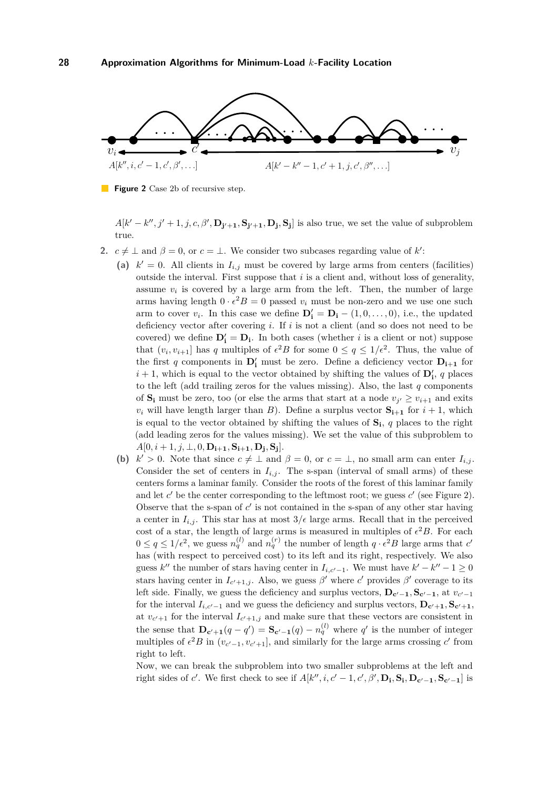<span id="page-11-0"></span>

**Figure 2** Case 2b of recursive step.

 $A[k'-k'',j'+1,j,c,\beta',\mathbf{D}_{j'+1},\mathbf{S}_{j'+1},\mathbf{D}_j,\mathbf{S}_j]$  is also true, we set the value of subproblem true.

- **2.**  $c \neq \perp$  and  $\beta = 0$ , or  $c = \perp$ . We consider two subcases regarding value of k':
	- (a)  $k' = 0$ . All clients in  $I_{i,j}$  must be covered by large arms from centers (facilities) outside the interval. First suppose that *i* is a client and, without loss of generality, assume  $v_i$  is covered by a large arm from the left. Then, the number of large arms having length  $0 \cdot \epsilon^2 B = 0$  passed  $v_i$  must be non-zero and we use one such arm to cover  $v_i$ . In this case we define  $\mathbf{D_i'} = \mathbf{D_i} - (1, 0, \dots, 0)$ , i.e., the updated deficiency vector after covering *i*. If *i* is not a client (and so does not need to be covered) we define  $D'_i = D_i$ . In both cases (whether *i* is a client or not) suppose that  $(v_i, v_{i+1}]$  has q multiples of  $\epsilon^2 B$  for some  $0 \le q \le 1/\epsilon^2$ . Thus, the value of the first *q* components in  $D'_i$  must be zero. Define a deficiency vector  $D_{i+1}$  for  $i + 1$ , which is equal to the vector obtained by shifting the values of  $\mathbf{D}'_i$ , q places to the left (add trailing zeros for the values missing). Also, the last *q* components of  $S_i$  must be zero, too (or else the arms that start at a node  $v_{j'} \ge v_{i+1}$  and exits  $v_i$  will have length larger than *B*). Define a surplus vector  $S_{i+1}$  for  $i+1$ , which is equal to the vector obtained by shifting the values of **S<sup>i</sup>** , *q* places to the right (add leading zeros for the values missing). We set the value of this subproblem to  $A[0, i+1, j, \perp, 0, \mathbf{D_{i+1}}, \mathbf{S_{i+1}}, \mathbf{D_j}, \mathbf{S_j}].$
	- **(b)**  $k' > 0$ . Note that since  $c \neq \perp$  and  $\beta = 0$ , or  $c = \perp$ , no small arm can enter  $I_{i,j}$ . Consider the set of centers in  $I_{i,j}$ . The s-span (interval of small arms) of these centers forms a laminar family. Consider the roots of the forest of this laminar family and let  $c'$  be the center corresponding to the leftmost root; we guess  $c'$  (see Figure [2\)](#page-11-0). Observe that the s-span of  $c'$  is not contained in the s-span of any other star having a center in  $I_{i,j}$ . This star has at most  $3/\epsilon$  large arms. Recall that in the perceived cost of a star, the length of large arms is measured in multiples of  $\epsilon^2 B$ . For each  $0 \le q \le 1/\epsilon^2$ , we guess  $n_q^{(l)}$  and  $n_q^{(r)}$  the number of length  $q \cdot \epsilon^2 B$  large arms that  $c'$ has (with respect to perceived cost) to its left and its right, respectively. We also guess  $k''$  the number of stars having center in  $I_{i,c'-1}$ . We must have  $k'-k''-1 \geq 0$ stars having center in  $I_{c'+1,j}$ . Also, we guess  $\beta'$  where  $c'$  provides  $\beta'$  coverage to its left side. Finally, we guess the deficiency and surplus vectors,  $D_{c'-1}, S_{c'-1}$ , at  $v_{c'-1}$ for the interval  $I_{i,c'-1}$  and we guess the deficiency and surplus vectors,  $D_{c'+1}$ ,  $S_{c'+1}$ , at  $v_{c'+1}$  for the interval  $I_{c'+1,j}$  and make sure that these vectors are consistent in the sense that  $\mathbf{D}_{\mathbf{c'}+1}(q-q') = \mathbf{S}_{\mathbf{c'}-1}(q) - n_q^{(l)}$  where  $q'$  is the number of integer multiples of  $\epsilon^2 B$  in  $(v_{c'-1}, v_{c'+1}]$ , and similarly for the large arms crossing *c*' from right to left.

Now, we can break the subproblem into two smaller subproblems at the left and right sides of c'. We first check to see if  $A[k'', i, c'-1, c', \beta', \mathbf{D_i}, \mathbf{S_i}, \mathbf{D_{c'-1}}, \mathbf{S_{c'-1}}]$  is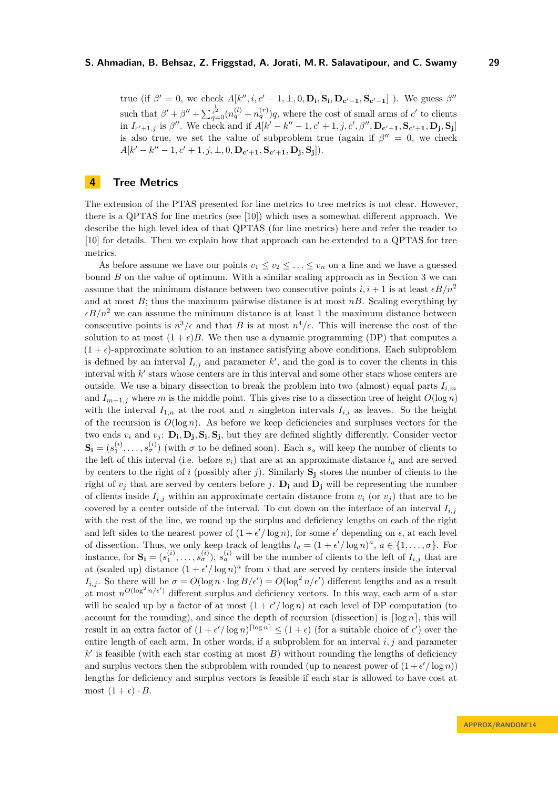true (if  $\beta' = 0$ , we check  $A[k'', i, c' - 1, \perp, 0, D_i, S_i, D_{c'-1}, S_{c'-1}]$ ). We guess  $\beta''$ such that  $\beta' + \beta'' + \sum_{q=0}^{\frac{1}{\epsilon^2}} (n_q^{(l)} + n_q^{(r)})q$ , where the cost of small arms of *c'* to clients in  $I_{c'+1,j}$  is  $\beta''$ . We check and if  $A[k'-k''-1,c'+1,j,c',\beta'',\mathbf{D}_{c'+1},\mathbf{S}_{c'+1},\mathbf{D_j},\mathbf{S_j}]$ is also true, we set the value of subproblem true (again if  $\beta'' = 0$ , we check  $A[k'-k''-1, c'+1, j, \perp, 0, \mathbf{D}_{c'+1}, \mathbf{S}_{c'+1}, \mathbf{D}_{j}, \mathbf{S}_{j}]).$ 

# <span id="page-12-0"></span>**4 Tree Metrics**

The extension of the PTAS presented for line metrics to tree metrics is not clear. However, there is a QPTAS for line metrics (see [\[10\]](#page-16-11)) which uses a somewhat different approach. We describe the high level idea of that QPTAS (for line metrics) here and refer the reader to [\[10\]](#page-16-11) for details. Then we explain how that approach can be extended to a QPTAS for tree metrics.

As before assume we have our points  $v_1 \le v_2 \le \ldots \le v_n$  on a line and we have a guessed bound *B* on the value of optimum. With a similar scaling approach as in Section [3](#page-4-2) we can assume that the minimum distance between two consecutive points  $i, i + 1$  is at least  $\epsilon B/n^2$ and at most *B*; thus the maximum pairwise distance is at most *nB*. Scaling everything by  $\epsilon B/n^2$  we can assume the minimum distance is at least 1 the maximum distance between consecutive points is  $n^3/\epsilon$  and that *B* is at most  $n^4/\epsilon$ . This will increase the cost of the solution to at most  $(1 + \epsilon)B$ . We then use a dynamic programming (DP) that computes a  $(1 + \epsilon)$ -approximate solution to an instance satisfying above conditions. Each subproblem is defined by an interval  $I_{i,j}$  and parameter  $k'$ , and the goal is to cover the clients in this interval with  $k'$  stars whose centers are in this interval and some other stars whose centers are outside. We use a binary dissection to break the problem into two (almost) equal parts *Ii,m* and  $I_{m+1,j}$  where *m* is the middle point. This gives rise to a dissection tree of height  $O(\log n)$ with the interval  $I_{1,n}$  at the root and *n* singleton intervals  $I_{i,i}$  as leaves. So the height of the recursion is  $O(\log n)$ . As before we keep deficiencies and surpluses vectors for the two ends  $v_i$  and  $v_j$ :  $\mathbf{D_i}, \mathbf{D_j}, \mathbf{S_i}, \mathbf{S_j}$ , but they are defined slightly differently. Consider vector  $\mathbf{S_i} = (s_1^{(i)}, \dots, s_{\sigma}^{(i)})$  (with  $\sigma$  to be defined soon). Each  $s_a$  will keep the number of clients to the left of this interval (i.e. before  $v_i$ ) that are at an approximate distance  $l_a$  and are served by centers to the right of *i* (possibly after *j*). Similarly  $S_i$  stores the number of clients to the right of  $v_j$  that are served by centers before *j*.  $D_i$  and  $D_j$  will be representing the number of clients inside  $I_{i,j}$  within an approximate certain distance from  $v_i$  (or  $v_j$ ) that are to be covered by a center outside of the interval. To cut down on the interface of an interval  $I_{i,j}$ with the rest of the line, we round up the surplus and deficiency lengths on each of the right and left sides to the nearest power of  $(1 + \epsilon'/\log n)$ , for some  $\epsilon'$  depending on  $\epsilon$ , at each level of dissection. Thus, we only keep track of lengths  $l_a = (1 + \epsilon'/\log n)^a$ ,  $a \in \{1, ..., \sigma\}$ . For instance, for  $S_i = (s_1^{(i)}, \ldots, s_{\sigma}^{(i)}), s_a^{(i)}$  will be the number of clients to the left of  $I_{i,j}$  that are at (scaled up) distance  $(1 + \epsilon'/\log n)^a$  from *i* that are served by centers inside the interval *I*<sub>*i,j*</sub>. So there will be  $\sigma = O(\log n \cdot \log B/\epsilon') = O(\log^2 n/\epsilon')$  different lengths and as a result at most  $n^{O(\log^2 n/\epsilon')}$  different surplus and deficiency vectors. In this way, each arm of a star will be scaled up by a factor of at most  $(1 + \epsilon'/\log n)$  at each level of DP computation (to account for the rounding), and since the depth of recursion (dissection) is  $\lceil \log n \rceil$ , this will result in an extra factor of  $(1 + \epsilon') \log n^{\lfloor \log n \rfloor} \leq (1 + \epsilon)$  (for a suitable choice of  $\epsilon'$ ) over the entire length of each arm. In other words, if a subproblem for an interval *i, j* and parameter  $k'$  is feasible (with each star costing at most *B*) without rounding the lengths of deficiency and surplus vectors then the subproblem with rounded (up to nearest power of  $(1 + \epsilon'/\log n)$ ) lengths for deficiency and surplus vectors is feasible if each star is allowed to have cost at most  $(1 + \epsilon) \cdot B$ .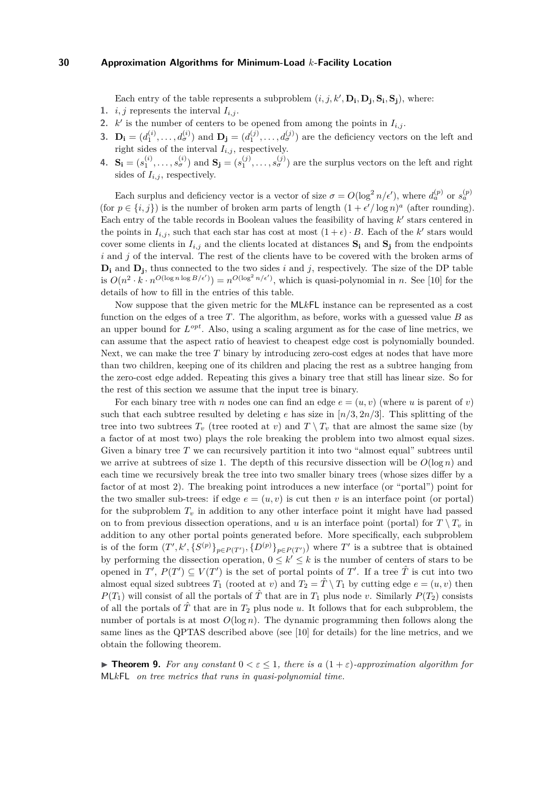Each entry of the table represents a subproblem  $(i, j, k', \mathbf{D_i}, \mathbf{D_j}, \mathbf{S_i}, \mathbf{S_j})$ , where:

- 1. *i, j* represents the interval  $I_{i,j}$ .
- 2.  $k'$  is the number of centers to be opened from among the points in  $I_{i,j}$ .
- **3.**  $\mathbf{D_i} = (d_1^{(i)}, \ldots, d_{\sigma}^{(i)})$  and  $\mathbf{D_j} = (d_1^{(j)}, \ldots, d_{\sigma}^{(j)})$  are the deficiency vectors on the left and right sides of the interval  $I_{i,j}$ , respectively.
- 4.  $S_i = (s_1^{(i)}, \ldots, s_{\sigma}^{(i)})$  and  $S_j = (s_1^{(j)}, \ldots, s_{\sigma}^{(j)})$  are the surplus vectors on the left and right sides of  $I_{i,j}$ , respectively.

Each surplus and deficiency vector is a vector of size  $\sigma = O(\log^2 n/\epsilon')$ , where  $d_a^{(p)}$  or  $s_a^{(p)}$ (for  $p \in \{i, j\}$ ) is the number of broken arm parts of length  $(1 + \epsilon'/\log n)^a$  (after rounding). Each entry of the table records in Boolean values the feasibility of having  $k'$  stars centered in the points in  $I_{i,j}$ , such that each star has cost at most  $(1+\epsilon) \cdot B$ . Each of the *k*' stars would cover some clients in  $I_{i,j}$  and the clients located at distances  $S_i$  and  $S_j$  from the endpoints *i* and *j* of the interval. The rest of the clients have to be covered with the broken arms of  $D_i$  and  $D_j$ , thus connected to the two sides *i* and *j*, respectively. The size of the DP table is  $O(n^2 \cdot k \cdot n^{O(\log n \log B/\epsilon')}) = n^{O(\log^2 n/\epsilon')}$ , which is quasi-polynomial in *n*. See [\[10\]](#page-16-11) for the details of how to fill in the entries of this table.

Now suppose that the given metric for the ML*k*FL instance can be represented as a cost function on the edges of a tree *T*. The algorithm, as before, works with a guessed value *B* as an upper bound for *L opt*. Also, using a scaling argument as for the case of line metrics, we can assume that the aspect ratio of heaviest to cheapest edge cost is polynomially bounded. Next, we can make the tree *T* binary by introducing zero-cost edges at nodes that have more than two children, keeping one of its children and placing the rest as a subtree hanging from the zero-cost edge added. Repeating this gives a binary tree that still has linear size. So for the rest of this section we assume that the input tree is binary.

For each binary tree with *n* nodes one can find an edge  $e = (u, v)$  (where *u* is parent of *v*) such that each subtree resulted by deleting  $e$  has size in  $\lfloor n/3, 2n/3 \rfloor$ . This splitting of the tree into two subtrees  $T_v$  (tree rooted at *v*) and  $T \setminus T_v$  that are almost the same size (by a factor of at most two) plays the role breaking the problem into two almost equal sizes. Given a binary tree T we can recursively partition it into two "almost equal" subtrees until we arrive at subtrees of size 1. The depth of this recursive dissection will be  $O(\log n)$  and each time we recursively break the tree into two smaller binary trees (whose sizes differ by a factor of at most 2). The breaking point introduces a new interface (or "portal") point for the two smaller sub-trees: if edge  $e = (u, v)$  is cut then *v* is an interface point (or portal) for the subproblem  $T_v$  in addition to any other interface point it might have had passed on to from previous dissection operations, and *u* is an interface point (portal) for  $T \setminus T_v$  in addition to any other portal points generated before. More specifically, each subproblem is of the form  $(T', k', \{S^{(p)}\}_{p \in P(T')}, \{D^{(p)}\}_{p \in P(T')})$  where  $T'$  is a subtree that is obtained by performing the dissection operation,  $0 \leq k' \leq k$  is the number of centers of stars to be opened in  $T'$ ,  $P(T') \subseteq V(T')$  is the set of portal points of  $T'$ . If a tree  $\hat{T}$  is cut into two almost equal sized subtrees  $T_1$  (rooted at *v*) and  $T_2 = \hat{T} \setminus T_1$  by cutting edge  $e = (u, v)$  then *P*(*T*<sub>1</sub>) will consist of all the portals of  $\hat{T}$  that are in *T*<sub>1</sub> plus node *v*. Similarly *P*(*T*<sub>2</sub>) consists of all the portals of  $\hat{T}$  that are in  $T_2$  plus node  $u$ . It follows that for each subproblem, the number of portals is at most  $O(\log n)$ . The dynamic programming then follows along the same lines as the QPTAS described above (see [\[10\]](#page-16-11) for details) for the line metrics, and we obtain the following theorem.

<span id="page-13-0"></span>**If Theorem 9.** For any constant  $0 \leq \varepsilon \leq 1$ , there is a  $(1+\varepsilon)$ -approximation algorithm for ML*k*FL *on tree metrics that runs in quasi-polynomial time.*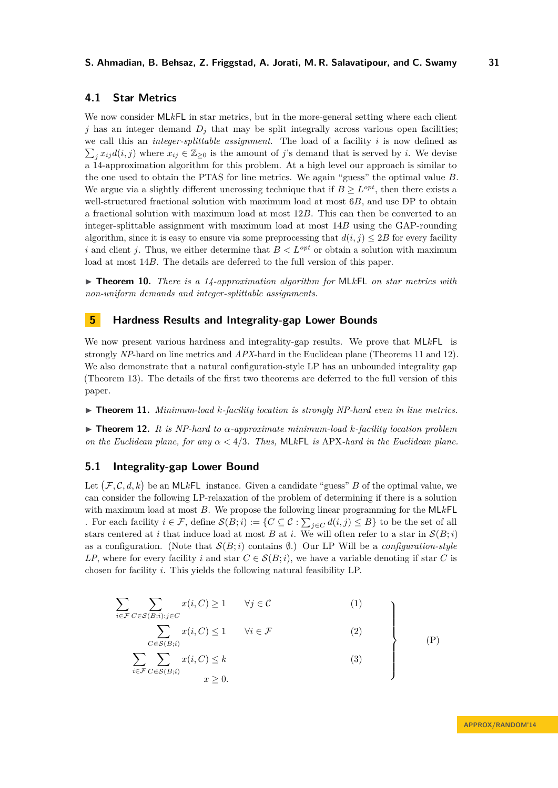# **4.1 Star Metrics**

We now consider ML*k*FL in star metrics, but in the more-general setting where each client  $j$  has an integer demand  $D_j$  that may be split integrally across various open facilities; we call this an *integer-splittable assignment*. The load of a facility *i* is now defined as  $\sum_j x_{ij}d(i,j)$  where  $x_{ij} \in \mathbb{Z}_{\geq 0}$  is the amount of *j*'s demand that is served by *i*. We devise a 14-approximation algorithm for this problem. At a high level our approach is similar to the one used to obtain the PTAS for line metrics. We again "guess" the optimal value *B*. We argue via a slightly different uncrossing technique that if  $B \geq L^{opt}$ , then there exists a well-structured fractional solution with maximum load at most 6*B*, and use DP to obtain a fractional solution with maximum load at most 12*B*. This can then be converted to an integer-splittable assignment with maximum load at most 14*B* using the GAP-rounding algorithm, since it is easy to ensure via some preprocessing that  $d(i, j) \leq 2B$  for every facility *i* and client *j*. Thus, we either determine that  $B < L^{opt}$  or obtain a solution with maximum load at most 14*B*. The details are deferred to the full version of this paper.

<span id="page-14-0"></span>▶ **Theorem 10.** *There is a 14-approximation algorithm for* MLkFL *on star metrics with non-uniform demands and integer-splittable assignments.*

# <span id="page-14-1"></span>**5 Hardness Results and Integrality-gap Lower Bounds**

We now present various hardness and integrality-gap results. We prove that ML*k*FL is strongly *NP*-hard on line metrics and *APX*-hard in the Euclidean plane (Theorems [11](#page-14-2) and [12\)](#page-14-3). We also demonstrate that a natural configuration-style LP has an unbounded integrality gap (Theorem [13\)](#page-15-0). The details of the first two theorems are deferred to the full version of this paper.

<span id="page-14-2"></span> $\triangleright$  **Theorem 11.** *Minimum-load k-facility location is strongly NP-hard even in line metrics.* 

<span id="page-14-3"></span>I **Theorem 12.** *It is NP-hard to α-approximate minimum-load k-facility location problem on the Euclidean plane, for any α <* 4*/*3*. Thus,* ML*k*FL *is* APX*-hard in the Euclidean plane.*

## **5.1 Integrality-gap Lower Bound**

Let  $(F, \mathcal{C}, d, k)$  be an MLkFL instance. Given a candidate "guess" *B* of the optimal value, we can consider the following LP-relaxation of the problem of determining if there is a solution with maximum load at most *B*. We propose the following linear programming for the ML*k*FL . For each facility  $i \in \mathcal{F}$ , define  $\mathcal{S}(B; i) := \{C \subseteq \mathcal{C} : \sum_{j \in C} d(i, j) \leq B\}$  to be the set of all stars centered at *i* that induce load at most *B* at *i*. We will often refer to a star in  $\mathcal{S}(B;i)$ as a configuration. (Note that  $S(B; i)$  contains  $\emptyset$ .) Our LP Will be a *configuration-style LP*, where for every facility *i* and star  $C \in \mathcal{S}(B;i)$ , we have a variable denoting if star *C* is chosen for facility *i*. This yields the following natural feasibility LP.

$$
\sum_{i \in \mathcal{F}} \sum_{C \in \mathcal{S}(B;i): j \in C} x(i, C) \ge 1 \qquad \forall j \in C \tag{1}
$$
\n
$$
\sum_{i \in \mathcal{F}} x(i, C) \le 1 \qquad \forall i \in \mathcal{F} \tag{2}
$$

<span id="page-14-7"></span><span id="page-14-6"></span><span id="page-14-5"></span><span id="page-14-4"></span>
$$
\sum_{C \in \mathcal{S}(B;i)} x(i, C) \le 1 \qquad \forall i \in \mathcal{F} \tag{2}
$$
\n
$$
\sum_{C \in \mathcal{S}(B;i)} x(i, C) \le k \tag{3}
$$

$$
\sum_{i \in \mathcal{F}} \sum_{C \in \mathcal{S}(B;i)} x(i, C) \le k \tag{3}
$$
\n
$$
x \ge 0.
$$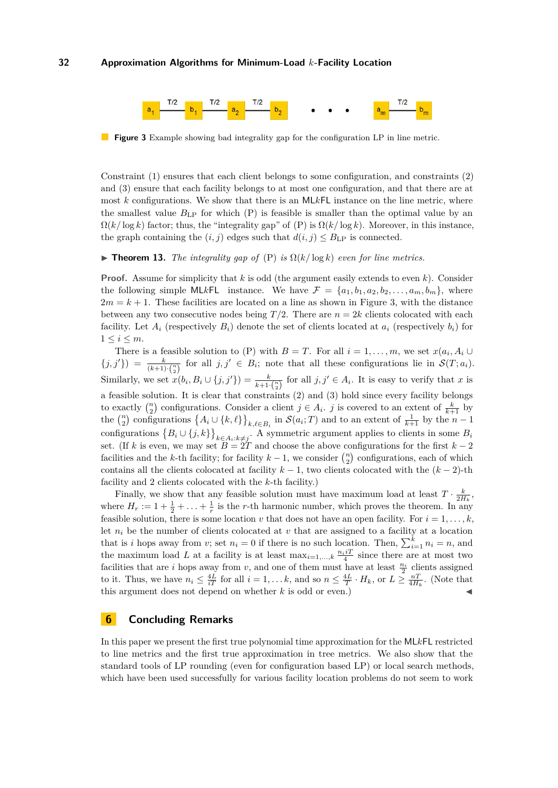<span id="page-15-1"></span>

**Figure 3** Example showing bad integrality gap for the configuration LP in line metric.

Constraint [\(1\)](#page-14-4) ensures that each client belongs to some configuration, and constraints [\(2\)](#page-14-5) and [\(3\)](#page-14-6) ensure that each facility belongs to at most one configuration, and that there are at most *k* configurations. We show that there is an ML*k*FL instance on the line metric, where the smallest value  $B_{\text{LP}}$  for which  $(P)$  is feasible is smaller than the optimal value by an  $\Omega(k/\log k)$  factor; thus, the "integrality gap" of [\(P\)](#page-14-7) is  $\Omega(k/\log k)$ . Moreover, in this instance, the graph containing the  $(i, j)$  edges such that  $d(i, j) \leq B_{\text{LP}}$  is connected.

<span id="page-15-0"></span>**Findment 13.** The integrality gap of [\(P\)](#page-14-7) is  $\Omega(k/\log k)$  even for line metrics.

**Proof.** Assume for simplicity that *k* is odd (the argument easily extends to even *k*). Consider the following simple MLkFL instance. We have  $\mathcal{F} = \{a_1, b_1, a_2, b_2, \ldots, a_m, b_m\}$ , where  $2m = k + 1$ . These facilities are located on a line as shown in Figure [3,](#page-15-1) with the distance between any two consecutive nodes being  $T/2$ . There are  $n = 2k$  clients colocated with each facility. Let  $A_i$  (respectively  $B_i$ ) denote the set of clients located at  $a_i$  (respectively  $b_i$ ) for  $1 \leq i \leq m$ .

There is a feasible solution to [\(P\)](#page-14-7) with  $B = T$ . For all  $i = 1, \ldots, m$ , we set  $x(a_i, A_i \cup$  $\{j, j'\}\right) = \frac{k}{(k+1)\cdot\binom{n}{2}}$  for all  $j, j' \in B_i$ ; note that all these configurations lie in  $\mathcal{S}(T; a_i)$ . Similarly, we set  $x(b_i, B_i \cup \{j, j'\}) = \frac{k}{k+1 \cdot \binom{n}{2}}$  for all  $j, j' \in A_i$ . It is easy to verify that *x* is a feasible solution. It is clear that constraints [\(2\)](#page-14-5) and [\(3\)](#page-14-6) hold since every facility belongs to exactly  $\binom{n}{2}$  configurations. Consider a client  $j \in A_i$ . *j* is covered to an extent of  $\frac{k}{k+1}$  by the  $\binom{n}{2}$  configurations  $\{A_i \cup \{k,\ell\}\}_{k,\ell \in B_i}$  in  $\mathcal{S}(a_i; T)$  and to an extent of  $\frac{1}{k+1}$  by the  $n-1$ configurations  $\{B_i \cup \{j,k\}\}_{k \in A_i:k \neq j}$ . A symmetric argument applies to clients in some  $B_i$ set. (If *k* is even, we may set  $B = 2T$  and choose the above configurations for the first  $k - 2$ facilities and the *k*-th facility; for facility  $k-1$ , we consider  $\binom{n}{2}$  configurations, each of which contains all the clients colocated at facility  $k-1$ , two clients colocated with the  $(k-2)$ -th facility and 2 clients colocated with the *k*-th facility.)

Finally, we show that any feasible solution must have maximum load at least  $T \cdot \frac{k}{2H_k}$ , where  $H_r := 1 + \frac{1}{2} + \ldots + \frac{1}{r}$  is the *r*-th harmonic number, which proves the theorem. In any feasible solution, there is some location *v* that does not have an open facility. For  $i = 1, \ldots, k$ , let  $n_i$  be the number of clients colocated at  $v$  that are assigned to a facility at a location that is *i* hops away from *v*; set  $n_i = 0$  if there is no such location. Then,  $\sum_{i=1}^{k} n_i = n$ , and the maximum load *L* at a facility is at least  $\max_{i=1,\dots,k} \frac{n_i iT}{4}$  since there are at most two facilities that are *i* hops away from *v*, and one of them must have at least  $\frac{n_i}{2}$  clients assigned to it. Thus, we have  $n_i \leq \frac{4L}{iT}$  for all  $i = 1, \ldots k$ , and so  $n \leq \frac{4L}{T} \cdot H_k$ , or  $L \geq \frac{n}{4H_k}$ . (Note that this argument does not depend on whether  $k$  is odd or even.)

# **6 Concluding Remarks**

In this paper we present the first true polynomial time approximation for the ML*k*FL restricted to line metrics and the first true approximation in tree metrics. We also show that the standard tools of LP rounding (even for configuration based LP) or local search methods, which have been used successfully for various facility location problems do not seem to work